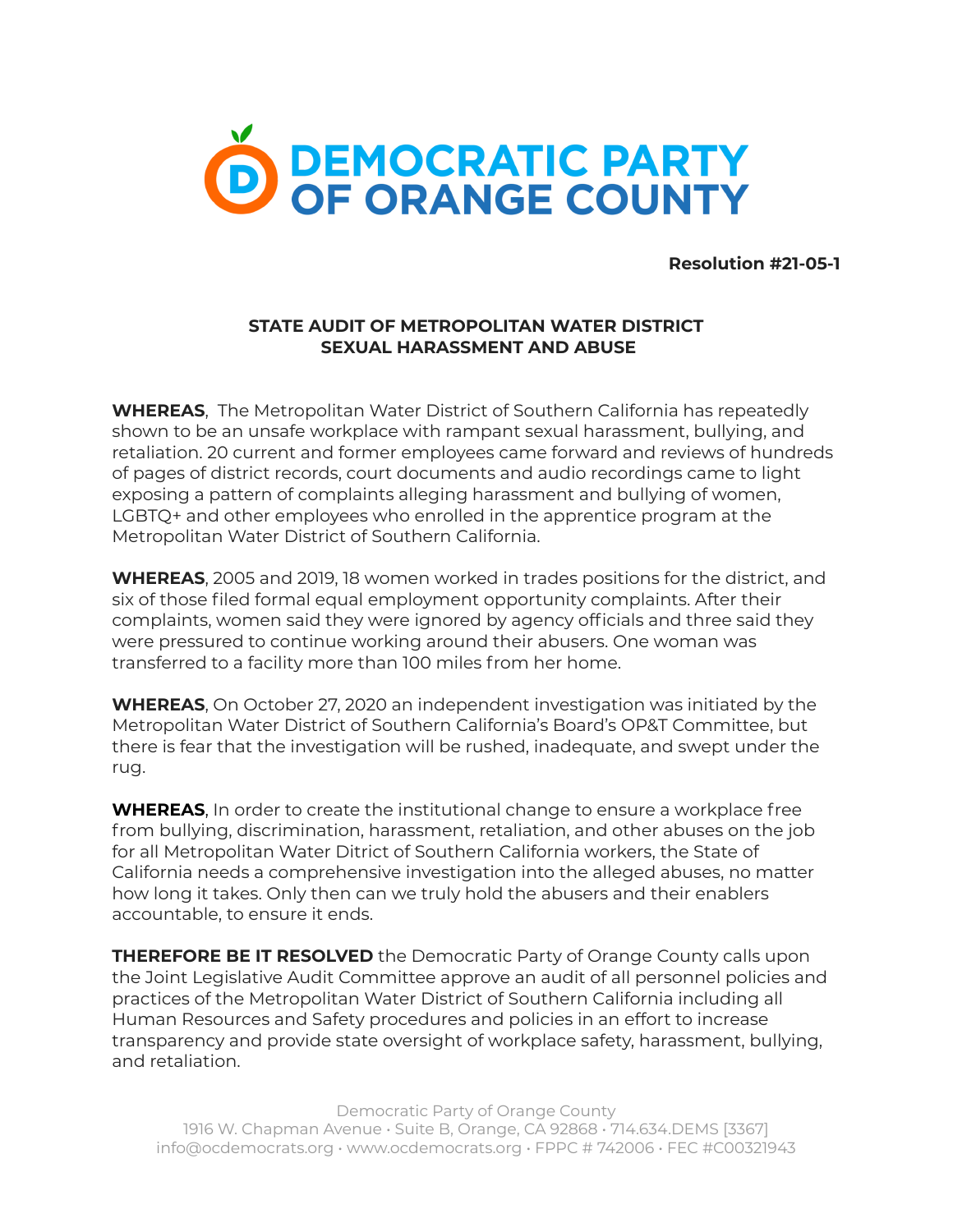

**Resolution #21-05-1**

## **STATE AUDIT OF METROPOLITAN WATER DISTRICT SEXUAL HARASSMENT AND ABUSE**

**WHEREAS**, The Metropolitan Water District of Southern California has repeatedly shown to be an unsafe workplace with rampant sexual harassment, bullying, and retaliation. 20 current and former employees came forward and reviews of hundreds of pages of district records, court documents and audio recordings came to light exposing a pattern of complaints alleging harassment and bullying of women, LGBTQ+ and other employees who enrolled in the apprentice program at the Metropolitan Water District of Southern California.

**WHEREAS**, 2005 and 2019, 18 women worked in trades positions for the district, and six of those filed formal equal employment opportunity complaints. After their complaints, women said they were ignored by agency officials and three said they were pressured to continue working around their abusers. One woman was transferred to a facility more than 100 miles from her home.

**WHEREAS**, On October 27, 2020 an independent investigation was initiated by the Metropolitan Water District of Southern California's Board's OP&T Committee, but there is fear that the investigation will be rushed, inadequate, and swept under the rug.

**WHEREAS**, In order to create the institutional change to ensure a workplace free from bullying, discrimination, harassment, retaliation, and other abuses on the job for all Metropolitan Water Ditrict of Southern California workers, the State of California needs a comprehensive investigation into the alleged abuses, no matter how long it takes. Only then can we truly hold the abusers and their enablers accountable, to ensure it ends.

**THEREFORE BE IT RESOLVED** the Democratic Party of Orange County calls upon the Joint Legislative Audit Committee approve an audit of all personnel policies and practices of the Metropolitan Water District of Southern California including all Human Resources and Safety procedures and policies in an effort to increase transparency and provide state oversight of workplace safety, harassment, bullying, and retaliation.

Democratic Party of Orange County 1916 W. Chapman Avenue • Suite B, Orange, CA 92868 • 714.634.DEMS [3367] info@ocdemocrats.org • www.ocdemocrats.org • FPPC # 742006 • FEC #C00321943